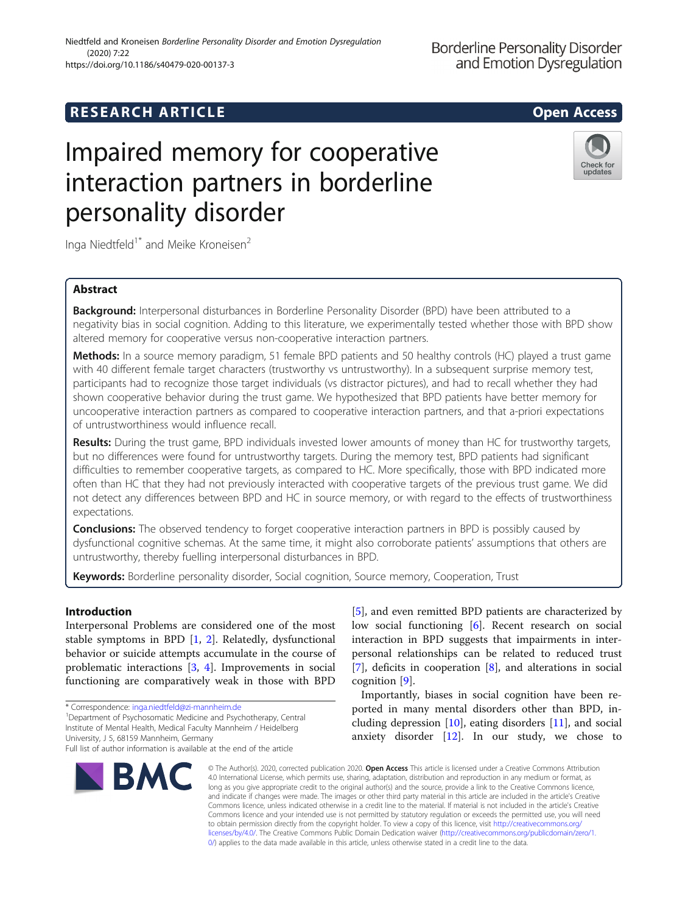# **RESEARCH ARTICLE Example 2014 12:30 The SEAR CH ACCESS**

# Impaired memory for cooperative interaction partners in borderline personality disorder



Inga Niedtfeld<sup>1\*</sup> and Meike Kroneisen<sup>2</sup>

# Abstract

Background: Interpersonal disturbances in Borderline Personality Disorder (BPD) have been attributed to a negativity bias in social cognition. Adding to this literature, we experimentally tested whether those with BPD show altered memory for cooperative versus non-cooperative interaction partners.

Methods: In a source memory paradigm, 51 female BPD patients and 50 healthy controls (HC) played a trust game with 40 different female target characters (trustworthy vs untrustworthy). In a subsequent surprise memory test, participants had to recognize those target individuals (vs distractor pictures), and had to recall whether they had shown cooperative behavior during the trust game. We hypothesized that BPD patients have better memory for uncooperative interaction partners as compared to cooperative interaction partners, and that a-priori expectations of untrustworthiness would influence recall.

Results: During the trust game, BPD individuals invested lower amounts of money than HC for trustworthy targets, but no differences were found for untrustworthy targets. During the memory test, BPD patients had significant difficulties to remember cooperative targets, as compared to HC. More specifically, those with BPD indicated more often than HC that they had not previously interacted with cooperative targets of the previous trust game. We did not detect any differences between BPD and HC in source memory, or with regard to the effects of trustworthiness expectations.

**Conclusions:** The observed tendency to forget cooperative interaction partners in BPD is possibly caused by dysfunctional cognitive schemas. At the same time, it might also corroborate patients' assumptions that others are untrustworthy, thereby fuelling interpersonal disturbances in BPD.

Keywords: Borderline personality disorder, Social cognition, Source memory, Cooperation, Trust

# Introduction

Interpersonal Problems are considered one of the most stable symptoms in BPD [\[1](#page-7-0), [2](#page-7-0)]. Relatedly, dysfunctional behavior or suicide attempts accumulate in the course of problematic interactions [[3](#page-7-0), [4\]](#page-7-0). Improvements in social functioning are comparatively weak in those with BPD

Department of Psychosomatic Medicine and Psychotherapy, Central Institute of Mental Health, Medical Faculty Mannheim / Heidelberg University, J 5, 68159 Mannheim, Germany

Full list of author information is available at the end of the article



[[5\]](#page-7-0), and even remitted BPD patients are characterized by low social functioning [[6\]](#page-7-0). Recent research on social interaction in BPD suggests that impairments in interpersonal relationships can be related to reduced trust [[7\]](#page-7-0), deficits in cooperation [\[8](#page-7-0)], and alterations in social cognition [\[9](#page-7-0)].

Importantly, biases in social cognition have been reported in many mental disorders other than BPD, including depression [\[10](#page-7-0)], eating disorders [[11\]](#page-7-0), and social anxiety disorder [[12](#page-7-0)]. In our study, we chose to

© The Author(s). 2020, corrected publication 2020. Open Access This article is licensed under a Creative Commons Attribution 4.0 International License, which permits use, sharing, adaptation, distribution and reproduction in any medium or format, as long as you give appropriate credit to the original author(s) and the source, provide a link to the Creative Commons licence, and indicate if changes were made. The images or other third party material in this article are included in the article's Creative Commons licence, unless indicated otherwise in a credit line to the material. If material is not included in the article's Creative Commons licence and your intended use is not permitted by statutory regulation or exceeds the permitted use, you will need to obtain permission directly from the copyright holder. To view a copy of this licence, visit [http://creativecommons.org/](http://creativecommons.org/licenses/by/4.0/) [licenses/by/4.0/.](http://creativecommons.org/licenses/by/4.0/) The Creative Commons Public Domain Dedication waiver ([http://creativecommons.org/publicdomain/zero/1.](http://creativecommons.org/publicdomain/zero/1.0/) [0/\)](http://creativecommons.org/publicdomain/zero/1.0/) applies to the data made available in this article, unless otherwise stated in a credit line to the data.

<sup>\*</sup> Correspondence: [inga.niedtfeld@zi-mannheim.de](mailto:inga.niedtfeld@zi-mannheim.de) <sup>1</sup>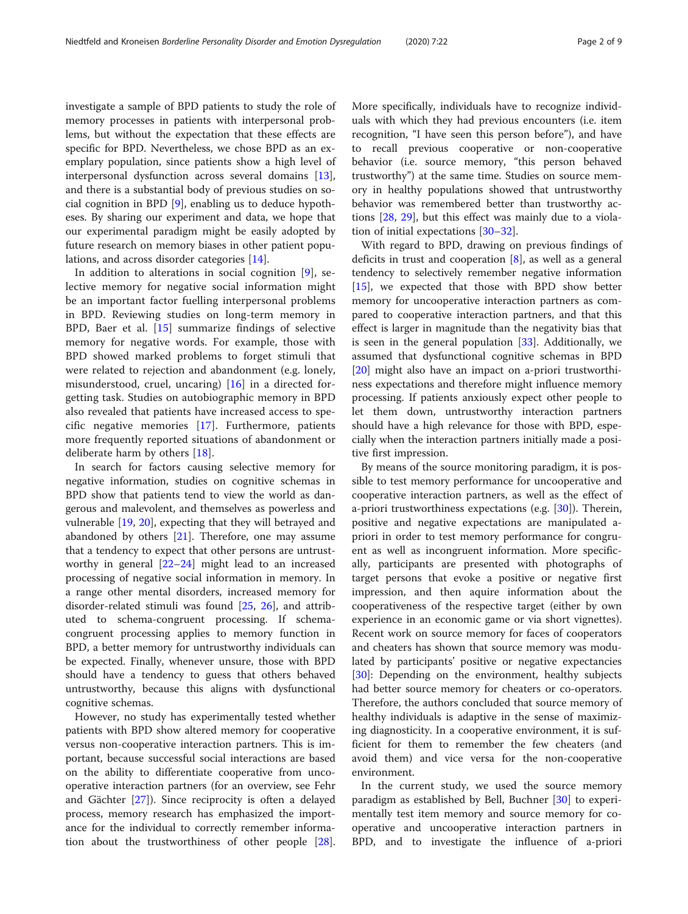investigate a sample of BPD patients to study the role of memory processes in patients with interpersonal problems, but without the expectation that these effects are specific for BPD. Nevertheless, we chose BPD as an exemplary population, since patients show a high level of interpersonal dysfunction across several domains [\[13](#page-7-0)], and there is a substantial body of previous studies on social cognition in BPD [\[9](#page-7-0)], enabling us to deduce hypotheses. By sharing our experiment and data, we hope that our experimental paradigm might be easily adopted by future research on memory biases in other patient populations, and across disorder categories [\[14\]](#page-7-0).

In addition to alterations in social cognition [[9\]](#page-7-0), selective memory for negative social information might be an important factor fuelling interpersonal problems in BPD. Reviewing studies on long-term memory in BPD, Baer et al. [[15](#page-7-0)] summarize findings of selective memory for negative words. For example, those with BPD showed marked problems to forget stimuli that were related to rejection and abandonment (e.g. lonely, misunderstood, cruel, uncaring) [\[16](#page-7-0)] in a directed forgetting task. Studies on autobiographic memory in BPD also revealed that patients have increased access to specific negative memories [\[17](#page-7-0)]. Furthermore, patients more frequently reported situations of abandonment or deliberate harm by others [[18](#page-7-0)].

In search for factors causing selective memory for negative information, studies on cognitive schemas in BPD show that patients tend to view the world as dangerous and malevolent, and themselves as powerless and vulnerable [\[19](#page-7-0), [20](#page-8-0)], expecting that they will betrayed and abandoned by others [\[21\]](#page-8-0). Therefore, one may assume that a tendency to expect that other persons are untrustworthy in general [[22](#page-8-0)–[24](#page-8-0)] might lead to an increased processing of negative social information in memory. In a range other mental disorders, increased memory for disorder-related stimuli was found [[25](#page-8-0), [26\]](#page-8-0), and attributed to schema-congruent processing. If schemacongruent processing applies to memory function in BPD, a better memory for untrustworthy individuals can be expected. Finally, whenever unsure, those with BPD should have a tendency to guess that others behaved untrustworthy, because this aligns with dysfunctional cognitive schemas.

However, no study has experimentally tested whether patients with BPD show altered memory for cooperative versus non-cooperative interaction partners. This is important, because successful social interactions are based on the ability to differentiate cooperative from uncooperative interaction partners (for an overview, see Fehr and Gächter [[27\]](#page-8-0)). Since reciprocity is often a delayed process, memory research has emphasized the importance for the individual to correctly remember information about the trustworthiness of other people [\[28](#page-8-0)]. More specifically, individuals have to recognize individuals with which they had previous encounters (i.e. item recognition, "I have seen this person before"), and have to recall previous cooperative or non-cooperative behavior (i.e. source memory, "this person behaved trustworthy") at the same time. Studies on source memory in healthy populations showed that untrustworthy behavior was remembered better than trustworthy actions [[28](#page-8-0), [29\]](#page-8-0), but this effect was mainly due to a violation of initial expectations [[30](#page-8-0)–[32\]](#page-8-0).

With regard to BPD, drawing on previous findings of deficits in trust and cooperation [[8\]](#page-7-0), as well as a general tendency to selectively remember negative information [[15\]](#page-7-0), we expected that those with BPD show better memory for uncooperative interaction partners as compared to cooperative interaction partners, and that this effect is larger in magnitude than the negativity bias that is seen in the general population  $[33]$  $[33]$  $[33]$ . Additionally, we assumed that dysfunctional cognitive schemas in BPD [[20\]](#page-8-0) might also have an impact on a-priori trustworthiness expectations and therefore might influence memory processing. If patients anxiously expect other people to let them down, untrustworthy interaction partners should have a high relevance for those with BPD, especially when the interaction partners initially made a positive first impression.

By means of the source monitoring paradigm, it is possible to test memory performance for uncooperative and cooperative interaction partners, as well as the effect of a-priori trustworthiness expectations (e.g. [[30](#page-8-0)]). Therein, positive and negative expectations are manipulated apriori in order to test memory performance for congruent as well as incongruent information. More specifically, participants are presented with photographs of target persons that evoke a positive or negative first impression, and then aquire information about the cooperativeness of the respective target (either by own experience in an economic game or via short vignettes). Recent work on source memory for faces of cooperators and cheaters has shown that source memory was modulated by participants' positive or negative expectancies [[30\]](#page-8-0): Depending on the environment, healthy subjects had better source memory for cheaters or co-operators. Therefore, the authors concluded that source memory of healthy individuals is adaptive in the sense of maximizing diagnosticity. In a cooperative environment, it is sufficient for them to remember the few cheaters (and avoid them) and vice versa for the non-cooperative environment.

In the current study, we used the source memory paradigm as established by Bell, Buchner [[30](#page-8-0)] to experimentally test item memory and source memory for cooperative and uncooperative interaction partners in BPD, and to investigate the influence of a-priori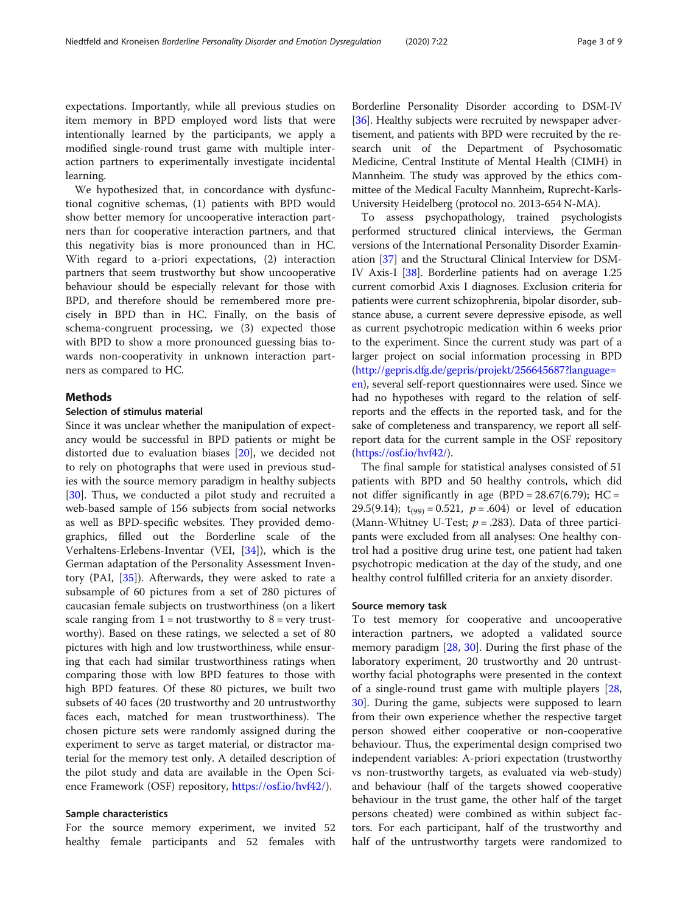expectations. Importantly, while all previous studies on item memory in BPD employed word lists that were intentionally learned by the participants, we apply a modified single-round trust game with multiple interaction partners to experimentally investigate incidental learning.

We hypothesized that, in concordance with dysfunctional cognitive schemas, (1) patients with BPD would show better memory for uncooperative interaction partners than for cooperative interaction partners, and that this negativity bias is more pronounced than in HC. With regard to a-priori expectations, (2) interaction partners that seem trustworthy but show uncooperative behaviour should be especially relevant for those with BPD, and therefore should be remembered more precisely in BPD than in HC. Finally, on the basis of schema-congruent processing, we (3) expected those with BPD to show a more pronounced guessing bias towards non-cooperativity in unknown interaction partners as compared to HC.

# **Methods**

# Selection of stimulus material

Since it was unclear whether the manipulation of expectancy would be successful in BPD patients or might be distorted due to evaluation biases [\[20](#page-8-0)], we decided not to rely on photographs that were used in previous studies with the source memory paradigm in healthy subjects [[30\]](#page-8-0). Thus, we conducted a pilot study and recruited a web-based sample of 156 subjects from social networks as well as BPD-specific websites. They provided demographics, filled out the Borderline scale of the Verhaltens-Erlebens-Inventar (VEI, [[34\]](#page-8-0)), which is the German adaptation of the Personality Assessment Inventory (PAI, [\[35](#page-8-0)]). Afterwards, they were asked to rate a subsample of 60 pictures from a set of 280 pictures of caucasian female subjects on trustworthiness (on a likert scale ranging from  $1 = not$  trustworthy to  $8 = very$  trustworthy). Based on these ratings, we selected a set of 80 pictures with high and low trustworthiness, while ensuring that each had similar trustworthiness ratings when comparing those with low BPD features to those with high BPD features. Of these 80 pictures, we built two subsets of 40 faces (20 trustworthy and 20 untrustworthy faces each, matched for mean trustworthiness). The chosen picture sets were randomly assigned during the experiment to serve as target material, or distractor material for the memory test only. A detailed description of the pilot study and data are available in the Open Science Framework (OSF) repository, [https://osf.io/hvf42/\)](https://osf.io/hvf42/).

# Sample characteristics

For the source memory experiment, we invited 52 healthy female participants and 52 females with Borderline Personality Disorder according to DSM-IV [[36](#page-8-0)]. Healthy subjects were recruited by newspaper advertisement, and patients with BPD were recruited by the research unit of the Department of Psychosomatic Medicine, Central Institute of Mental Health (CIMH) in Mannheim. The study was approved by the ethics committee of the Medical Faculty Mannheim, Ruprecht-Karls-University Heidelberg (protocol no. 2013-654 N-MA).

To assess psychopathology, trained psychologists performed structured clinical interviews, the German versions of the International Personality Disorder Examination [\[37](#page-8-0)] and the Structural Clinical Interview for DSM-IV Axis-I [\[38\]](#page-8-0). Borderline patients had on average 1.25 current comorbid Axis I diagnoses. Exclusion criteria for patients were current schizophrenia, bipolar disorder, substance abuse, a current severe depressive episode, as well as current psychotropic medication within 6 weeks prior to the experiment. Since the current study was part of a larger project on social information processing in BPD ([http://gepris.dfg.de/gepris/projekt/256645687?language=](http://gepris.dfg.de/gepris/projekt/256645687?language=en) [en](http://gepris.dfg.de/gepris/projekt/256645687?language=en)), several self-report questionnaires were used. Since we had no hypotheses with regard to the relation of selfreports and the effects in the reported task, and for the sake of completeness and transparency, we report all selfreport data for the current sample in the OSF repository (<https://osf.io/hvf42/>).

The final sample for statistical analyses consisted of 51 patients with BPD and 50 healthy controls, which did not differ significantly in age  $(BPD = 28.67(6.79); HC =$ 29.5(9.14);  $t_{(99)} = 0.521$ ,  $p = .604$ ) or level of education (Mann-Whitney U-Test;  $p = .283$ ). Data of three participants were excluded from all analyses: One healthy control had a positive drug urine test, one patient had taken psychotropic medication at the day of the study, and one healthy control fulfilled criteria for an anxiety disorder.

# Source memory task

To test memory for cooperative and uncooperative interaction partners, we adopted a validated source memory paradigm [[28,](#page-8-0) [30\]](#page-8-0). During the first phase of the laboratory experiment, 20 trustworthy and 20 untrustworthy facial photographs were presented in the context of a single-round trust game with multiple players [[28](#page-8-0), [30\]](#page-8-0). During the game, subjects were supposed to learn from their own experience whether the respective target person showed either cooperative or non-cooperative behaviour. Thus, the experimental design comprised two independent variables: A-priori expectation (trustworthy vs non-trustworthy targets, as evaluated via web-study) and behaviour (half of the targets showed cooperative behaviour in the trust game, the other half of the target persons cheated) were combined as within subject factors. For each participant, half of the trustworthy and half of the untrustworthy targets were randomized to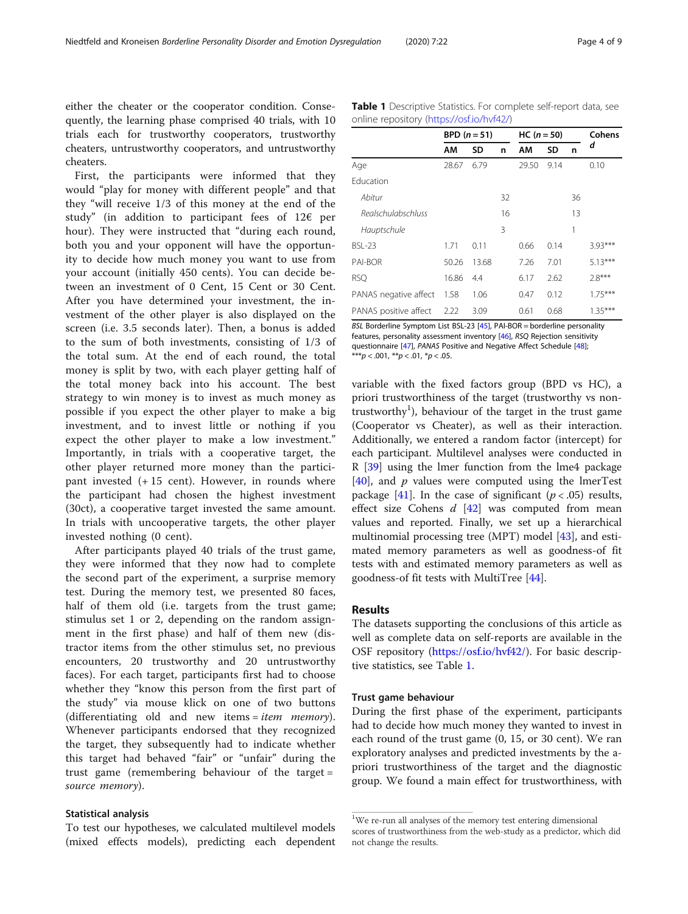either the cheater or the cooperator condition. Consequently, the learning phase comprised 40 trials, with 10 trials each for trustworthy cooperators, trustworthy cheaters, untrustworthy cooperators, and untrustworthy cheaters.

First, the participants were informed that they would "play for money with different people" and that they "will receive 1/3 of this money at the end of the study" (in addition to participant fees of  $12 \epsilon$  per hour). They were instructed that "during each round, both you and your opponent will have the opportunity to decide how much money you want to use from your account (initially 450 cents). You can decide between an investment of 0 Cent, 15 Cent or 30 Cent. After you have determined your investment, the investment of the other player is also displayed on the screen (i.e. 3.5 seconds later). Then, a bonus is added to the sum of both investments, consisting of 1/3 of the total sum. At the end of each round, the total money is split by two, with each player getting half of the total money back into his account. The best strategy to win money is to invest as much money as possible if you expect the other player to make a big investment, and to invest little or nothing if you expect the other player to make a low investment." Importantly, in trials with a cooperative target, the other player returned more money than the participant invested (+ 15 cent). However, in rounds where the participant had chosen the highest investment (30ct), a cooperative target invested the same amount. In trials with uncooperative targets, the other player invested nothing (0 cent).

After participants played 40 trials of the trust game, they were informed that they now had to complete the second part of the experiment, a surprise memory test. During the memory test, we presented 80 faces, half of them old (i.e. targets from the trust game; stimulus set 1 or 2, depending on the random assignment in the first phase) and half of them new (distractor items from the other stimulus set, no previous encounters, 20 trustworthy and 20 untrustworthy faces). For each target, participants first had to choose whether they "know this person from the first part of the study" via mouse klick on one of two buttons (differentiating old and new items =  $item$  memory). Whenever participants endorsed that they recognized the target, they subsequently had to indicate whether this target had behaved "fair" or "unfair" during the trust game (remembering behaviour of the target = source memory).

# Statistical analysis

To test our hypotheses, we calculated multilevel models (mixed effects models), predicting each dependent Table 1 Descriptive Statistics. For complete self-report data, see online repository (<https://osf.io/hvf42/>)

|                       | BPD $(n=51)$ |       | $HC (n = 50)$ |       |      | Cohens |           |
|-----------------------|--------------|-------|---------------|-------|------|--------|-----------|
|                       | AM           | SD    | n             | AM    | SD   | n      | d         |
| Age                   | 28.67        | 6.79  |               | 29.50 | 9.14 |        | 0.10      |
| Education             |              |       |               |       |      |        |           |
| Abitur                |              |       | 32            |       |      | 36     |           |
| Realschulabschluss    |              |       | 16            |       |      | 13     |           |
| Hauptschule           |              |       | 3             |       |      | 1      |           |
| <b>BSL-23</b>         | 1.71         | 0.11  |               | 0.66  | 0.14 |        | $3.93***$ |
| PAI-BOR               | 50.26        | 13.68 |               | 7.26  | 7.01 |        | $5.13***$ |
| <b>RSQ</b>            | 16.86        | 4.4   |               | 6.17  | 2.62 |        | $2.8***$  |
| PANAS negative affect | 1.58         | 1.06  |               | 0.47  | 0.12 |        | $1.75***$ |
| PANAS positive affect | 2.22         | 3.09  |               | 0.61  | 0.68 |        | $1.35***$ |

BSL Borderline Symptom List BSL-23 [\[45\]](#page-8-0), PAI-BOR = borderline personality features, personality assessment inventory [[46\]](#page-8-0), RSQ Rejection sensitivity questionnaire [[47](#page-8-0)], PANAS Positive and Negative Affect Schedule [\[48](#page-8-0)]; \*\*\*p < .001,  $*$ \*p < .01,  $*$ p < .05.

variable with the fixed factors group (BPD vs HC), a priori trustworthiness of the target (trustworthy vs nontrustworthy<sup>1</sup>), behaviour of the target in the trust game (Cooperator vs Cheater), as well as their interaction. Additionally, we entered a random factor (intercept) for each participant. Multilevel analyses were conducted in R [\[39](#page-8-0)] using the lmer function from the lme4 package [[40\]](#page-8-0), and  $p$  values were computed using the lmerTest package [\[41](#page-8-0)]. In the case of significant ( $p < .05$ ) results, effect size Cohens  $d$  [\[42\]](#page-8-0) was computed from mean values and reported. Finally, we set up a hierarchical multinomial processing tree (MPT) model [[43\]](#page-8-0), and estimated memory parameters as well as goodness-of fit tests with and estimated memory parameters as well as goodness-of fit tests with MultiTree [\[44](#page-8-0)].

# Results

The datasets supporting the conclusions of this article as well as complete data on self-reports are available in the OSF repository [\(https://osf.io/hvf42/](https://osf.io/hvf42/)). For basic descriptive statistics, see Table 1.

# Trust game behaviour

During the first phase of the experiment, participants had to decide how much money they wanted to invest in each round of the trust game (0, 15, or 30 cent). We ran exploratory analyses and predicted investments by the apriori trustworthiness of the target and the diagnostic group. We found a main effect for trustworthiness, with

<sup>&</sup>lt;sup>1</sup>We re-run all analyses of the memory test entering dimensional scores of trustworthiness from the web-study as a predictor, which did not change the results.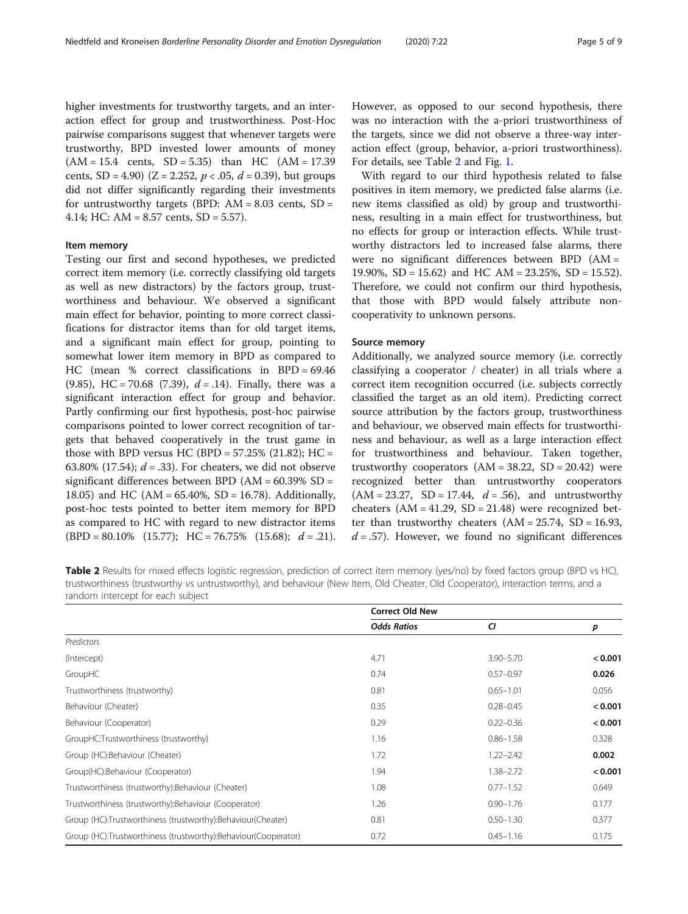higher investments for trustworthy targets, and an interaction effect for group and trustworthiness. Post-Hoc pairwise comparisons suggest that whenever targets were trustworthy, BPD invested lower amounts of money  $(AM = 15.4 \text{ cents}, SD = 5.35) \text{ than } HC (AM = 17.39)$ cents, SD = 4.90) (Z = 2.252,  $p < .05$ ,  $d = 0.39$ ), but groups did not differ significantly regarding their investments for untrustworthy targets (BPD:  $AM = 8.03$  cents,  $SD =$ 4.14; HC: AM = 8.57 cents, SD = 5.57).

# Item memory

Testing our first and second hypotheses, we predicted correct item memory (i.e. correctly classifying old targets as well as new distractors) by the factors group, trustworthiness and behaviour. We observed a significant main effect for behavior, pointing to more correct classifications for distractor items than for old target items, and a significant main effect for group, pointing to somewhat lower item memory in BPD as compared to HC (mean % correct classifications in BPD = 69.46 (9.85), HC = 70.68 (7.39),  $d = .14$ ). Finally, there was a significant interaction effect for group and behavior. Partly confirming our first hypothesis, post-hoc pairwise comparisons pointed to lower correct recognition of targets that behaved cooperatively in the trust game in those with BPD versus HC (BPD =  $57.25\%$  (21.82); HC = 63.80% (17.54);  $d = 0.33$ . For cheaters, we did not observe significant differences between BPD  $(AM = 60.39\% SD =$ 18.05) and HC (AM = 65.40%, SD = 16.78). Additionally, post-hoc tests pointed to better item memory for BPD as compared to HC with regard to new distractor items  $(BPD = 80.10\%$  (15.77); HC = 76.75% (15.68);  $d = .21$ ). However, as opposed to our second hypothesis, there was no interaction with the a-priori trustworthiness of the targets, since we did not observe a three-way interaction effect (group, behavior, a-priori trustworthiness). For details, see Table 2 and Fig. [1](#page-5-0).

With regard to our third hypothesis related to false positives in item memory, we predicted false alarms (i.e. new items classified as old) by group and trustworthiness, resulting in a main effect for trustworthiness, but no effects for group or interaction effects. While trustworthy distractors led to increased false alarms, there were no significant differences between BPD (AM = 19.90%, SD = 15.62) and HC AM = 23.25%, SD = 15.52). Therefore, we could not confirm our third hypothesis, that those with BPD would falsely attribute noncooperativity to unknown persons.

# Source memory

Additionally, we analyzed source memory (i.e. correctly classifying a cooperator / cheater) in all trials where a correct item recognition occurred (i.e. subjects correctly classified the target as an old item). Predicting correct source attribution by the factors group, trustworthiness and behaviour, we observed main effects for trustworthiness and behaviour, as well as a large interaction effect for trustworthiness and behaviour. Taken together, trustworthy cooperators  $(AM = 38.22, SD = 20.42)$  were recognized better than untrustworthy cooperators  $(AM = 23.27, SD = 17.44, d = .56)$ , and untrustworthy cheaters  $(AM = 41.29, SD = 21.48)$  were recognized better than trustworthy cheaters  $(AM = 25.74, SD = 16.93,$  $d = .57$ ). However, we found no significant differences

Table 2 Results for mixed effects logistic regression, prediction of correct item memory (yes/no) by fixed factors group (BPD vs HC), trustworthiness (trustworthy vs untrustworthy), and behaviour (New Item, Old Cheater, Old Cooperator), interaction terms, and a random intercept for each subject

|                                                                | <b>Correct Old New</b> |               |         |  |  |
|----------------------------------------------------------------|------------------------|---------------|---------|--|--|
|                                                                | <b>Odds Ratios</b>     | CI            | p       |  |  |
| Predictors                                                     |                        |               |         |  |  |
| (Intercept)                                                    | 4.71                   | $3.90 - 5.70$ | < 0.001 |  |  |
| GroupHC                                                        | 0.74                   | $0.57 - 0.97$ | 0.026   |  |  |
| Trustworthiness (trustworthy)                                  | 0.81                   | $0.65 - 1.01$ | 0.056   |  |  |
| Behaviour (Cheater)                                            | 0.35                   | $0.28 - 0.45$ | < 0.001 |  |  |
| Behaviour (Cooperator)                                         | 0.29                   | $0.22 - 0.36$ | < 0.001 |  |  |
| GroupHC:Trustworthiness (trustworthy)                          | 1.16                   | $0.86 - 1.58$ | 0.328   |  |  |
| Group (HC):Behaviour (Cheater)                                 | 1.72                   | $1.22 - 2.42$ | 0.002   |  |  |
| Group(HC):Behaviour (Cooperator)                               | 1.94                   | $1.38 - 2.72$ | < 0.001 |  |  |
| Trustworthiness (trustworthy): Behaviour (Cheater)             | 1.08                   | $0.77 - 1.52$ | 0.649   |  |  |
| Trustworthiness (trustworthy): Behaviour (Cooperator)          | 1.26                   | $0.90 - 1.76$ | 0.177   |  |  |
| Group (HC):Trustworthiness (trustworthy):Behaviour(Cheater)    | 0.81                   | $0.50 - 1.30$ | 0.377   |  |  |
| Group (HC):Trustworthiness (trustworthy):Behaviour(Cooperator) | 0.72                   | $0.45 - 1.16$ | 0.175   |  |  |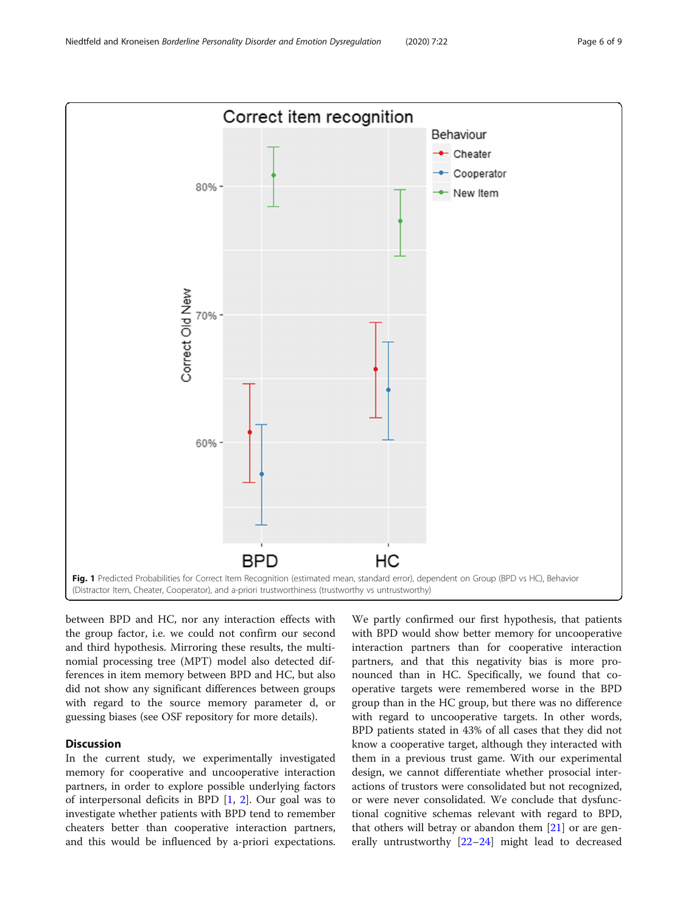<span id="page-5-0"></span>

between BPD and HC, nor any interaction effects with the group factor, i.e. we could not confirm our second and third hypothesis. Mirroring these results, the multinomial processing tree (MPT) model also detected differences in item memory between BPD and HC, but also did not show any significant differences between groups with regard to the source memory parameter d, or guessing biases (see OSF repository for more details).

# Discussion

In the current study, we experimentally investigated memory for cooperative and uncooperative interaction partners, in order to explore possible underlying factors of interpersonal deficits in BPD [[1,](#page-7-0) [2\]](#page-7-0). Our goal was to investigate whether patients with BPD tend to remember cheaters better than cooperative interaction partners, and this would be influenced by a-priori expectations.

We partly confirmed our first hypothesis, that patients with BPD would show better memory for uncooperative interaction partners than for cooperative interaction partners, and that this negativity bias is more pronounced than in HC. Specifically, we found that cooperative targets were remembered worse in the BPD group than in the HC group, but there was no difference with regard to uncooperative targets. In other words, BPD patients stated in 43% of all cases that they did not know a cooperative target, although they interacted with them in a previous trust game. With our experimental design, we cannot differentiate whether prosocial interactions of trustors were consolidated but not recognized, or were never consolidated. We conclude that dysfunctional cognitive schemas relevant with regard to BPD, that others will betray or abandon them  $[21]$  $[21]$  $[21]$  or are generally untrustworthy [\[22](#page-8-0)–[24\]](#page-8-0) might lead to decreased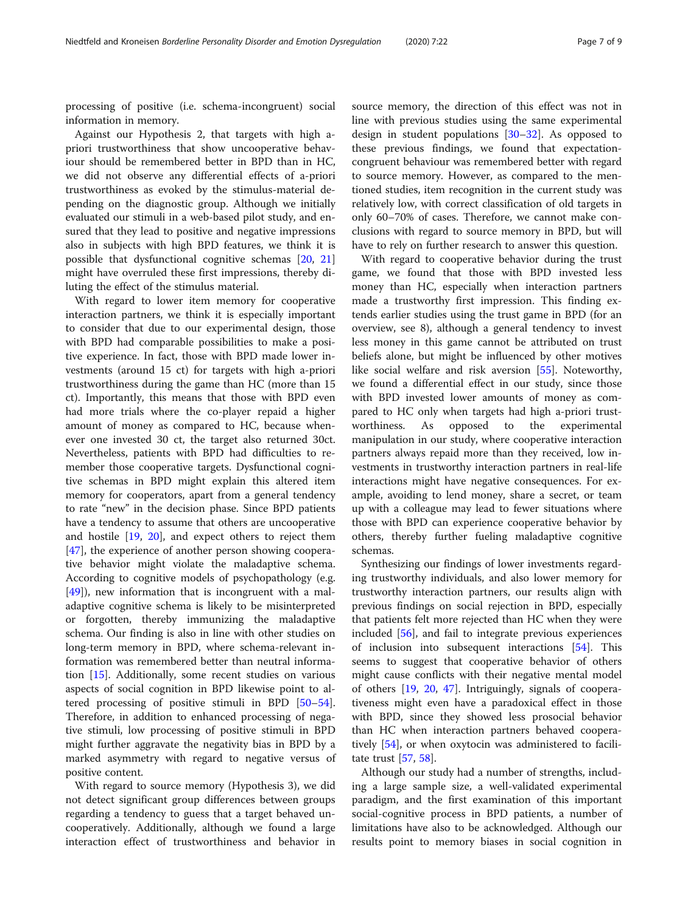processing of positive (i.e. schema-incongruent) social information in memory.

Against our Hypothesis 2, that targets with high apriori trustworthiness that show uncooperative behaviour should be remembered better in BPD than in HC, we did not observe any differential effects of a-priori trustworthiness as evoked by the stimulus-material depending on the diagnostic group. Although we initially evaluated our stimuli in a web-based pilot study, and ensured that they lead to positive and negative impressions also in subjects with high BPD features, we think it is possible that dysfunctional cognitive schemas [\[20](#page-8-0), [21](#page-8-0)] might have overruled these first impressions, thereby diluting the effect of the stimulus material.

With regard to lower item memory for cooperative interaction partners, we think it is especially important to consider that due to our experimental design, those with BPD had comparable possibilities to make a positive experience. In fact, those with BPD made lower investments (around 15 ct) for targets with high a-priori trustworthiness during the game than HC (more than 15 ct). Importantly, this means that those with BPD even had more trials where the co-player repaid a higher amount of money as compared to HC, because whenever one invested 30 ct, the target also returned 30ct. Nevertheless, patients with BPD had difficulties to remember those cooperative targets. Dysfunctional cognitive schemas in BPD might explain this altered item memory for cooperators, apart from a general tendency to rate "new" in the decision phase. Since BPD patients have a tendency to assume that others are uncooperative and hostile [\[19](#page-7-0), [20\]](#page-8-0), and expect others to reject them [[47\]](#page-8-0), the experience of another person showing cooperative behavior might violate the maladaptive schema. According to cognitive models of psychopathology (e.g. [[49\]](#page-8-0)), new information that is incongruent with a maladaptive cognitive schema is likely to be misinterpreted or forgotten, thereby immunizing the maladaptive schema. Our finding is also in line with other studies on long-term memory in BPD, where schema-relevant information was remembered better than neutral information [[15](#page-7-0)]. Additionally, some recent studies on various aspects of social cognition in BPD likewise point to altered processing of positive stimuli in BPD [[50](#page-8-0)–[54](#page-8-0)]. Therefore, in addition to enhanced processing of negative stimuli, low processing of positive stimuli in BPD might further aggravate the negativity bias in BPD by a marked asymmetry with regard to negative versus of positive content.

With regard to source memory (Hypothesis 3), we did not detect significant group differences between groups regarding a tendency to guess that a target behaved uncooperatively. Additionally, although we found a large interaction effect of trustworthiness and behavior in source memory, the direction of this effect was not in line with previous studies using the same experimental design in student populations [[30](#page-8-0)–[32](#page-8-0)]. As opposed to these previous findings, we found that expectationcongruent behaviour was remembered better with regard to source memory. However, as compared to the mentioned studies, item recognition in the current study was relatively low, with correct classification of old targets in only 60–70% of cases. Therefore, we cannot make conclusions with regard to source memory in BPD, but will have to rely on further research to answer this question.

With regard to cooperative behavior during the trust game, we found that those with BPD invested less money than HC, especially when interaction partners made a trustworthy first impression. This finding extends earlier studies using the trust game in BPD (for an overview, see 8), although a general tendency to invest less money in this game cannot be attributed on trust beliefs alone, but might be influenced by other motives like social welfare and risk aversion [[55](#page-8-0)]. Noteworthy, we found a differential effect in our study, since those with BPD invested lower amounts of money as compared to HC only when targets had high a-priori trustworthiness. As opposed to the experimental manipulation in our study, where cooperative interaction partners always repaid more than they received, low investments in trustworthy interaction partners in real-life interactions might have negative consequences. For example, avoiding to lend money, share a secret, or team up with a colleague may lead to fewer situations where those with BPD can experience cooperative behavior by others, thereby further fueling maladaptive cognitive schemas.

Synthesizing our findings of lower investments regarding trustworthy individuals, and also lower memory for trustworthy interaction partners, our results align with previous findings on social rejection in BPD, especially that patients felt more rejected than HC when they were included [[56\]](#page-8-0), and fail to integrate previous experiences of inclusion into subsequent interactions [\[54](#page-8-0)]. This seems to suggest that cooperative behavior of others might cause conflicts with their negative mental model of others [[19](#page-7-0), [20](#page-8-0), [47\]](#page-8-0). Intriguingly, signals of cooperativeness might even have a paradoxical effect in those with BPD, since they showed less prosocial behavior than HC when interaction partners behaved cooperatively [\[54\]](#page-8-0), or when oxytocin was administered to facilitate trust [\[57,](#page-8-0) [58\]](#page-8-0).

Although our study had a number of strengths, including a large sample size, a well-validated experimental paradigm, and the first examination of this important social-cognitive process in BPD patients, a number of limitations have also to be acknowledged. Although our results point to memory biases in social cognition in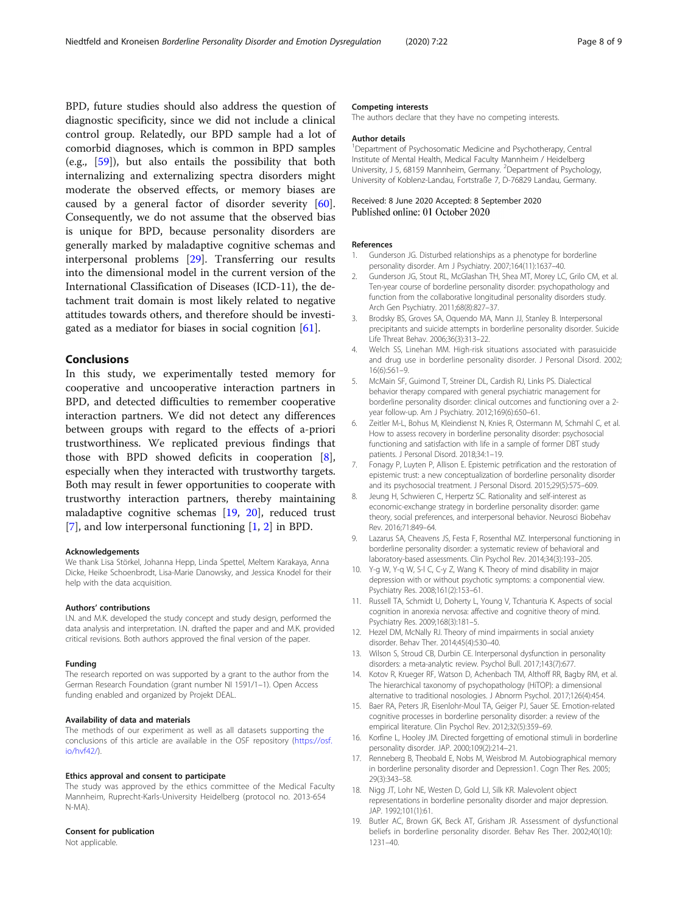<span id="page-7-0"></span>BPD, future studies should also address the question of diagnostic specificity, since we did not include a clinical control group. Relatedly, our BPD sample had a lot of comorbid diagnoses, which is common in BPD samples (e.g., [[59\]](#page-8-0)), but also entails the possibility that both internalizing and externalizing spectra disorders might moderate the observed effects, or memory biases are caused by a general factor of disorder severity [\[60](#page-8-0)]. Consequently, we do not assume that the observed bias is unique for BPD, because personality disorders are generally marked by maladaptive cognitive schemas and interpersonal problems [\[29](#page-8-0)]. Transferring our results into the dimensional model in the current version of the International Classification of Diseases (ICD-11), the detachment trait domain is most likely related to negative attitudes towards others, and therefore should be investigated as a mediator for biases in social cognition [\[61](#page-8-0)].

# Conclusions

In this study, we experimentally tested memory for cooperative and uncooperative interaction partners in BPD, and detected difficulties to remember cooperative interaction partners. We did not detect any differences between groups with regard to the effects of a-priori trustworthiness. We replicated previous findings that those with BPD showed deficits in cooperation [8], especially when they interacted with trustworthy targets. Both may result in fewer opportunities to cooperate with trustworthy interaction partners, thereby maintaining maladaptive cognitive schemas [19, [20\]](#page-8-0), reduced trust [7], and low interpersonal functioning [1, 2] in BPD.

# Acknowledgements

We thank Lisa Störkel, Johanna Hepp, Linda Spettel, Meltem Karakaya, Anna Dicke, Heike Schoenbrodt, Lisa-Marie Danowsky, and Jessica Knodel for their help with the data acquisition.

#### Authors' contributions

I.N. and M.K. developed the study concept and study design, performed the data analysis and interpretation. I.N. drafted the paper and and M.K. provided critical revisions. Both authors approved the final version of the paper.

#### Funding

The research reported on was supported by a grant to the author from the German Research Foundation (grant number NI 1591/1–1). Open Access funding enabled and organized by Projekt DEAL.

# Availability of data and materials

The methods of our experiment as well as all datasets supporting the conclusions of this article are available in the OSF repository ([https://osf.](https://osf.io/hvf42/) [io/hvf42/\)](https://osf.io/hvf42/).

# Ethics approval and consent to participate

The study was approved by the ethics committee of the Medical Faculty Mannheim, Ruprecht-Karls-University Heidelberg (protocol no. 2013-654 N-MA).

# Consent for publication

Not applicable.

# Competing interests

The authors declare that they have no competing interests.

# Author details

<sup>1</sup>Department of Psychosomatic Medicine and Psychotherapy, Central Institute of Mental Health, Medical Faculty Mannheim / Heidelberg University, J 5, 68159 Mannheim, Germany. <sup>2</sup>Department of Psychology, University of Koblenz-Landau, Fortstraße 7, D-76829 Landau, Germany.

# Received: 8 June 2020 Accepted: 8 September 2020 Published online: 01 October 2020

# References

- 1. Gunderson JG. Disturbed relationships as a phenotype for borderline personality disorder. Am J Psychiatry. 2007;164(11):1637–40.
- 2. Gunderson JG, Stout RL, McGlashan TH, Shea MT, Morey LC, Grilo CM, et al. Ten-year course of borderline personality disorder: psychopathology and function from the collaborative longitudinal personality disorders study. Arch Gen Psychiatry. 2011;68(8):827–37.
- 3. Brodsky BS, Groves SA, Oquendo MA, Mann JJ, Stanley B. Interpersonal precipitants and suicide attempts in borderline personality disorder. Suicide Life Threat Behav. 2006;36(3):313–22.
- 4. Welch SS, Linehan MM. High-risk situations associated with parasuicide and drug use in borderline personality disorder. J Personal Disord. 2002; 16(6):561–9.
- 5. McMain SF, Guimond T, Streiner DL, Cardish RJ, Links PS. Dialectical behavior therapy compared with general psychiatric management for borderline personality disorder: clinical outcomes and functioning over a 2 year follow-up. Am J Psychiatry. 2012;169(6):650–61.
- 6. Zeitler M-L, Bohus M, Kleindienst N, Knies R, Ostermann M, Schmahl C, et al. How to assess recovery in borderline personality disorder: psychosocial functioning and satisfaction with life in a sample of former DBT study patients. J Personal Disord. 2018;34:1–19.
- 7. Fonagy P, Luyten P, Allison E. Epistemic petrification and the restoration of epistemic trust: a new conceptualization of borderline personality disorder and its psychosocial treatment. J Personal Disord. 2015;29(5):575–609.
- 8. Jeung H, Schwieren C, Herpertz SC. Rationality and self-interest as economic-exchange strategy in borderline personality disorder: game theory, social preferences, and interpersonal behavior. Neurosci Biobehav Rev. 2016;71:849–64.
- 9. Lazarus SA, Cheavens JS, Festa F, Rosenthal MZ. Interpersonal functioning in borderline personality disorder: a systematic review of behavioral and laboratory-based assessments. Clin Psychol Rev. 2014;34(3):193–205.
- 10. Y-g W, Y-q W, S-l C, C-y Z, Wang K. Theory of mind disability in major depression with or without psychotic symptoms: a componential view. Psychiatry Res. 2008;161(2):153–61.
- 11. Russell TA, Schmidt U, Doherty L, Young V, Tchanturia K. Aspects of social cognition in anorexia nervosa: affective and cognitive theory of mind. Psychiatry Res. 2009;168(3):181–5.
- 12. Hezel DM, McNally RJ. Theory of mind impairments in social anxiety disorder. Behav Ther. 2014;45(4):530–40.
- 13. Wilson S, Stroud CB, Durbin CE. Interpersonal dysfunction in personality disorders: a meta-analytic review. Psychol Bull. 2017;143(7):677.
- 14. Kotov R, Krueger RF, Watson D, Achenbach TM, Althoff RR, Bagby RM, et al. The hierarchical taxonomy of psychopathology (HiTOP): a dimensional alternative to traditional nosologies. J Abnorm Psychol. 2017;126(4):454.
- 15. Baer RA, Peters JR, Eisenlohr-Moul TA, Geiger PJ, Sauer SE. Emotion-related cognitive processes in borderline personality disorder: a review of the empirical literature. Clin Psychol Rev. 2012;32(5):359–69.
- 16. Korfine L, Hooley JM. Directed forgetting of emotional stimuli in borderline personality disorder. JAP. 2000;109(2):214–21.
- 17. Renneberg B, Theobald E, Nobs M, Weisbrod M. Autobiographical memory in borderline personality disorder and Depression1. Cogn Ther Res. 2005; 29(3):343–58.
- 18. Nigg JT, Lohr NE, Westen D, Gold LJ, Silk KR. Malevolent object representations in borderline personality disorder and major depression. JAP. 1992;101(1):61.
- 19. Butler AC, Brown GK, Beck AT, Grisham JR. Assessment of dysfunctional beliefs in borderline personality disorder. Behav Res Ther. 2002;40(10): 1231–40.